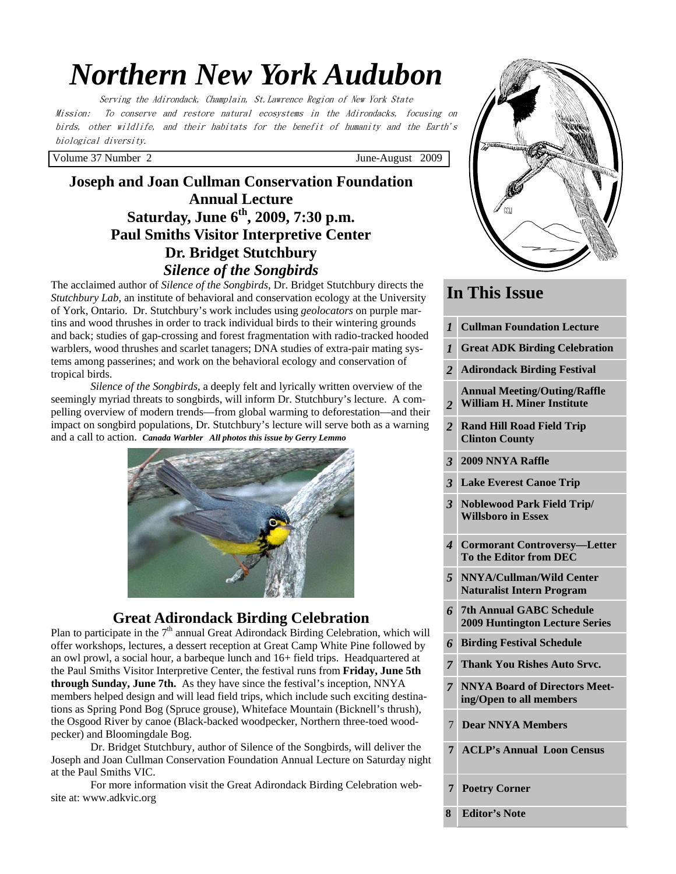# *Northern New York Audubon*

Serving the Adirondack, Champlain, St.Lawrence Region of New York State Mission: To conserve and restore natural ecosystems in the Adirondacks, focusing on birds, other wildlife, and their habitats for the benefit of humanity and the Earth's biological diversity.

Volume 37 Number 2 June-August 2009

# **Joseph and Joan Cullman Conservation Foundation Annual Lecture Saturday, June 6th, 2009, 7:30 p.m. Paul Smiths Visitor Interpretive Center Dr. Bridget Stutchbury**  *Silence of the Songbirds*

The acclaimed author of *Silence of the Songbirds*, Dr. Bridget Stutchbury directs the *Stutchbury Lab*, an institute of behavioral and conservation ecology at the University of York, Ontario. Dr. Stutchbury's work includes using *geolocators* on purple martins and wood thrushes in order to track individual birds to their wintering grounds and back; studies of gap-crossing and forest fragmentation with radio-tracked hooded warblers, wood thrushes and scarlet tanagers; DNA studies of extra-pair mating systems among passerines; and work on the behavioral ecology and conservation of tropical birds.

*Silence of the Songbirds*, a deeply felt and lyrically written overview of the seemingly myriad threats to songbirds, will inform Dr. Stutchbury's lecture. A compelling overview of modern trends—from global warming to deforestation—and their impact on songbird populations, Dr. Stutchbury's lecture will serve both as a warning and a call to action. *Canada Warbler All photos this issue by Gerry Lemmo*



# **Great Adirondack Birding Celebration**

Plan to participate in the  $7<sup>th</sup>$  annual Great Adirondack Birding Celebration, which will offer workshops, lectures, a dessert reception at Great Camp White Pine followed by an owl prowl, a social hour, a barbeque lunch and 16+ field trips. Headquartered at the Paul Smiths Visitor Interpretive Center, the festival runs from **Friday, June 5th through Sunday, June 7th.** As they have since the festival's inception, NNYA members helped design and will lead field trips, which include such exciting destinations as Spring Pond Bog (Spruce grouse), Whiteface Mountain (Bicknell's thrush), the Osgood River by canoe (Black-backed woodpecker, Northern three-toed woodpecker) and Bloomingdale Bog.

 Dr. Bridget Stutchbury, author of Silence of the Songbirds, will deliver the Joseph and Joan Cullman Conservation Foundation Annual Lecture on Saturday night at the Paul Smiths VIC.

For more information visit the Great Adirondack Birding Celebration website at: www.adkvic.org



# **In This Issue**

- *1* **Cullman Foundation Lecture**
- *1* **Great ADK Birding Celebration**
- *2* **Adirondack Birding Festival**
- *2*  **Annual Meeting/Outing/Raffle William H. Miner Institute**
- *2* **Rand Hill Road Field Trip Clinton County**
- *3* **2009 NNYA Raffle**
- *3* **Lake Everest Canoe Trip**
- *3* **Noblewood Park Field Trip/ Willsboro in Essex**
- *4* **Cormorant Controversy—Letter To the Editor from DEC**
- *5* **NNYA/Cullman/Wild Center Naturalist Intern Program**
- *6* **7th Annual GABC Schedule 2009 Huntington Lecture Series**
- *6* **Birding Festival Schedule**
- *7* **Thank You Rishes Auto Srvc.**
- *7* **NNYA Board of Directors Meeting/Open to all members**
- 7 **Dear NNYA Members**
- **7 ACLP's Annual Loon Census**
- **Poetry Corner**

**8 Editor's Note**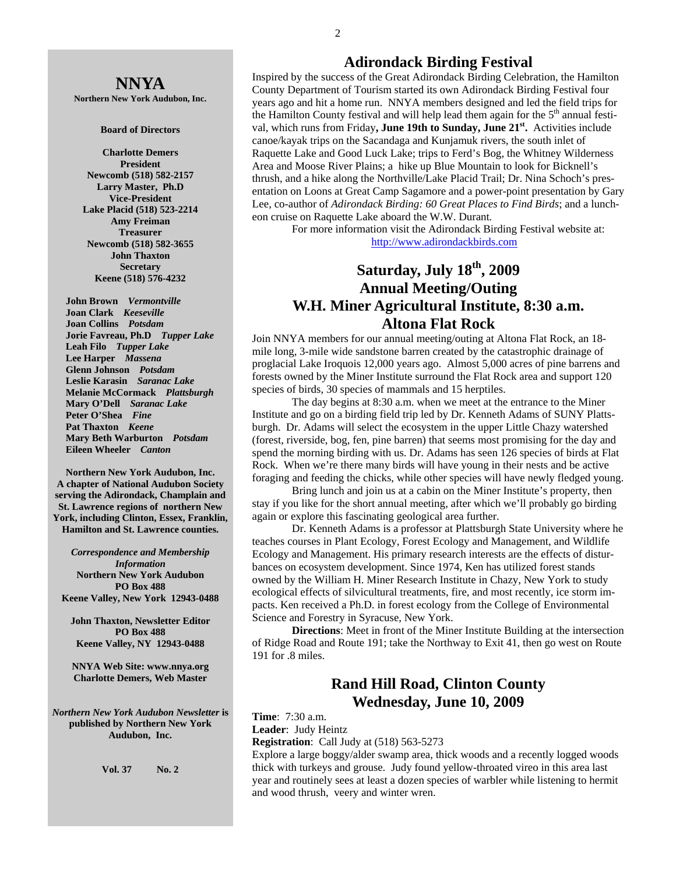# **NNYA**

**Northern New York Audubon, Inc.** 

#### **Board of Directors**

**Charlotte Demers President Newcomb (518) 582-2157 Larry Master, Ph.D Vice-President Lake Placid (518) 523-2214 Amy Freiman Treasurer Newcomb (518) 582-3655 John Thaxton Secretary Keene (518) 576-4232** 

 **John Brown** *Vermontville*  **Joan Clark** *Keeseville*  **Joan Collins** *Potsdam*   **Jorie Favreau, Ph.D** *Tupper Lake*  **Leah Filo** *Tupper Lake*  **Lee Harper** *Massena*   **Glenn Johnson** *Potsdam*   **Leslie Karasin** *Saranac Lake*  **Melanie McCormack** *Plattsburgh*   **Mary O'Dell** *Saranac Lake*  **Peter O'Shea** *Fine*   **Pat Thaxton** *Keene*   **Mary Beth Warburton** *Potsdam*   **Eileen Wheeler** *Canton* 

**Northern New York Audubon, Inc. A chapter of National Audubon Society serving the Adirondack, Champlain and St. Lawrence regions of northern New York, including Clinton, Essex, Franklin, Hamilton and St. Lawrence counties.** 

*Correspondence and Membership Information* **Northern New York Audubon PO Box 488 Keene Valley, New York 12943-0488** 

**John Thaxton, Newsletter Editor PO Box 488 Keene Valley, NY 12943-0488** 

**NNYA Web Site: www.nnya.org Charlotte Demers, Web Master** 

*Northern New York Audubon Newsletter* **is published by Northern New York Audubon, Inc.** 

**Vol. 37 No. 2** 

#### **Adirondack Birding Festival**

Inspired by the success of the Great Adirondack Birding Celebration, the Hamilton County Department of Tourism started its own Adirondack Birding Festival four years ago and hit a home run. NNYA members designed and led the field trips for the Hamilton County festival and will help lead them again for the  $5<sup>th</sup>$  annual festival, which runs from Friday**, June 19th to Sunday, June 21st.** Activities include canoe/kayak trips on the Sacandaga and Kunjamuk rivers, the south inlet of Raquette Lake and Good Luck Lake; trips to Ferd's Bog, the Whitney Wilderness Area and Moose River Plains; a hike up Blue Mountain to look for Bicknell's thrush, and a hike along the Northville/Lake Placid Trail; Dr. Nina Schoch's presentation on Loons at Great Camp Sagamore and a power-point presentation by Gary Lee, co-author of *Adirondack Birding: 60 Great Places to Find Birds*; and a luncheon cruise on Raquette Lake aboard the W.W. Durant*.*

 For more information visit the Adirondack Birding Festival website at: http://www.adirondackbirds.com

# **Saturday, July 18th, 2009 Annual Meeting/Outing W.H. Miner Agricultural Institute, 8:30 a.m. Altona Flat Rock**

Join NNYA members for our annual meeting/outing at Altona Flat Rock, an 18 mile long, 3-mile wide sandstone barren created by the catastrophic drainage of proglacial Lake Iroquois 12,000 years ago. Almost 5,000 acres of pine barrens and forests owned by the Miner Institute surround the Flat Rock area and support 120 species of birds, 30 species of mammals and 15 herptiles.

 The day begins at 8:30 a.m. when we meet at the entrance to the Miner Institute and go on a birding field trip led by Dr. Kenneth Adams of SUNY Plattsburgh. Dr. Adams will select the ecosystem in the upper Little Chazy watershed (forest, riverside, bog, fen, pine barren) that seems most promising for the day and spend the morning birding with us. Dr. Adams has seen 126 species of birds at Flat Rock. When we're there many birds will have young in their nests and be active foraging and feeding the chicks, while other species will have newly fledged young.

 Bring lunch and join us at a cabin on the Miner Institute's property, then stay if you like for the short annual meeting, after which we'll probably go birding again or explore this fascinating geological area further.

Dr. Kenneth Adams is a professor at Plattsburgh State University where he teaches courses in Plant Ecology, Forest Ecology and Management, and Wildlife Ecology and Management. His primary research interests are the effects of disturbances on ecosystem development. Since 1974, Ken has utilized forest stands owned by the William H. Miner Research Institute in Chazy, New York to study ecological effects of silvicultural treatments, fire, and most recently, ice storm impacts. Ken received a Ph.D. in forest ecology from the College of Environmental Science and Forestry in Syracuse, New York.

**Directions**: Meet in front of the Miner Institute Building at the intersection of Ridge Road and Route 191; take the Northway to Exit 41, then go west on Route 191 for .8 miles.

### **Rand Hill Road, Clinton County Wednesday, June 10, 2009**

**Time**: 7:30 a.m.

**Leader**: Judy Heintz

**Registration**: Call Judy at (518) 563-5273

Explore a large boggy/alder swamp area, thick woods and a recently logged woods thick with turkeys and grouse. Judy found yellow-throated vireo in this area last year and routinely sees at least a dozen species of warbler while listening to hermit and wood thrush, veery and winter wren.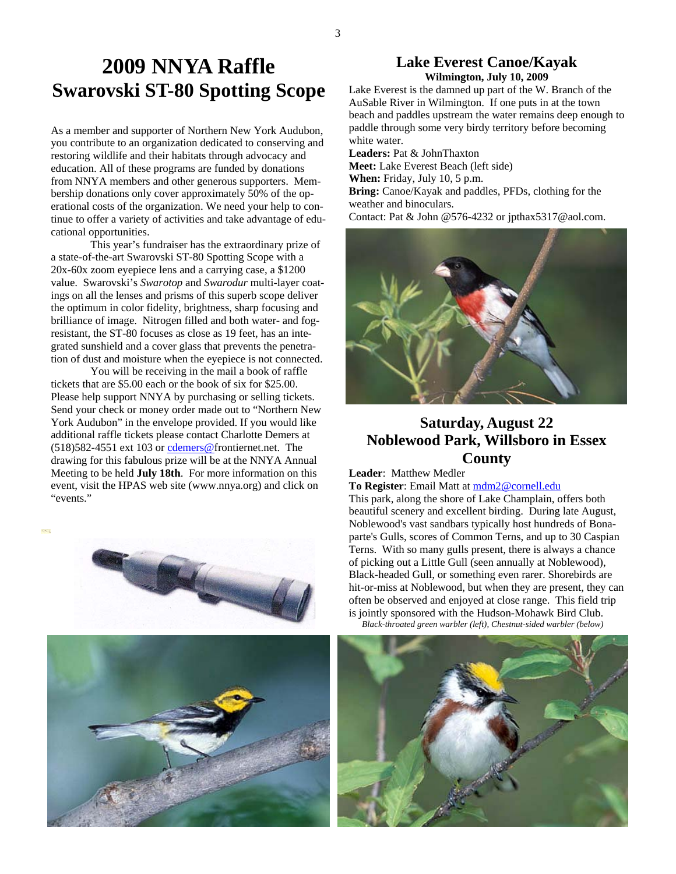# **2009 NNYA Raffle Swarovski ST-80 Spotting Scope**

As a member and supporter of Northern New York Audubon, you contribute to an organization dedicated to conserving and restoring wildlife and their habitats through advocacy and education. All of these programs are funded by donations from NNYA members and other generous supporters. Membership donations only cover approximately 50% of the operational costs of the organization. We need your help to continue to offer a variety of activities and take advantage of educational opportunities.

 This year's fundraiser has the extraordinary prize of a state-of-the-art Swarovski ST-80 Spotting Scope with a 20x-60x zoom eyepiece lens and a carrying case, a \$1200 value. Swarovski's *Swarotop* and *Swarodur* multi-layer coatings on all the lenses and prisms of this superb scope deliver the optimum in color fidelity, brightness, sharp focusing and brilliance of image. Nitrogen filled and both water- and fogresistant, the ST-80 focuses as close as 19 feet, has an integrated sunshield and a cover glass that prevents the penetration of dust and moisture when the eyepiece is not connected.

 You will be receiving in the mail a book of raffle tickets that are \$5.00 each or the book of six for \$25.00. Please help support NNYA by purchasing or selling tickets. Send your check or money order made out to "Northern New York Audubon" in the envelope provided. If you would like additional raffle tickets please contact Charlotte Demers at (518)582-4551 ext 103 or cdemers@frontiernet.net. The drawing for this fabulous prize will be at the NNYA Annual Meeting to be held **July 18th**. For more information on this event, visit the HPAS web site (www.nnya.org) and click on "events."





#### **Lake Everest Canoe/Kayak Wilmington, July 10, 2009**

Lake Everest is the damned up part of the W. Branch of the AuSable River in Wilmington. If one puts in at the town beach and paddles upstream the water remains deep enough to paddle through some very birdy territory before becoming white water.

**Leaders:** Pat & JohnThaxton **Meet:** Lake Everest Beach (left side) **When:** Friday, July 10, 5 p.m. **Bring:** Canoe/Kayak and paddles, PFDs, clothing for the weather and binoculars. Contact: Pat & John @576-4232 or jpthax5317@aol.com.





# **Saturday, August 22 Noblewood Park, Willsboro in Essex County**

**Leader**: Matthew Medler

**To Register**: Email Matt at mdm2@cornell.edu

This park, along the shore of Lake Champlain, offers both beautiful scenery and excellent birding. During late August, Noblewood's vast sandbars typically host hundreds of Bonaparte's Gulls, scores of Common Terns, and up to 30 Caspian Terns. With so many gulls present, there is always a chance of picking out a Little Gull (seen annually at Noblewood), Black-headed Gull, or something even rarer. Shorebirds are hit-or-miss at Noblewood, but when they are present, they can often be observed and enjoyed at close range. This field trip is jointly sponsored with the Hudson-Mohawk Bird Club.  *Black-throated green warbler (left), Chestnut-sided warbler (below)* 



3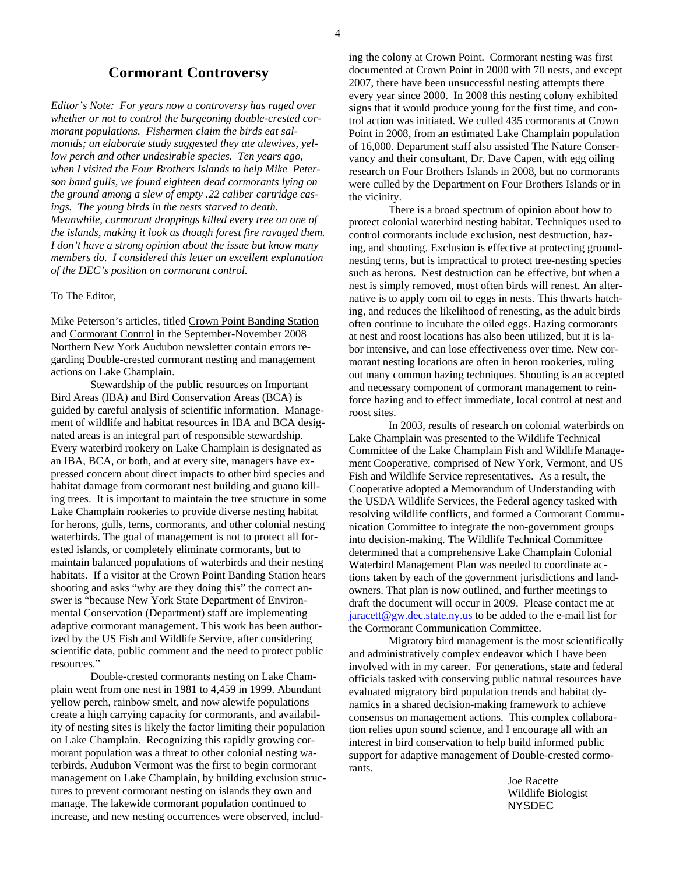#### **Cormorant Controversy**

*Editor's Note: For years now a controversy has raged over whether or not to control the burgeoning double-crested cormorant populations. Fishermen claim the birds eat salmonids; an elaborate study suggested they ate alewives, yellow perch and other undesirable species. Ten years ago, when I visited the Four Brothers Islands to help Mike Peterson band gulls, we found eighteen dead cormorants lying on the ground among a slew of empty .22 caliber cartridge casings. The young birds in the nests starved to death. Meanwhile, cormorant droppings killed every tree on one of the islands, making it look as though forest fire ravaged them. I don't have a strong opinion about the issue but know many members do. I considered this letter an excellent explanation of the DEC's position on cormorant control.* 

#### To The Editor,

Mike Peterson's articles, titled Crown Point Banding Station and Cormorant Control in the September-November 2008 Northern New York Audubon newsletter contain errors regarding Double-crested cormorant nesting and management actions on Lake Champlain.

 Stewardship of the public resources on Important Bird Areas (IBA) and Bird Conservation Areas (BCA) is guided by careful analysis of scientific information. Management of wildlife and habitat resources in IBA and BCA designated areas is an integral part of responsible stewardship. Every waterbird rookery on Lake Champlain is designated as an IBA, BCA, or both, and at every site, managers have expressed concern about direct impacts to other bird species and habitat damage from cormorant nest building and guano killing trees. It is important to maintain the tree structure in some Lake Champlain rookeries to provide diverse nesting habitat for herons, gulls, terns, cormorants, and other colonial nesting waterbirds. The goal of management is not to protect all forested islands, or completely eliminate cormorants, but to maintain balanced populations of waterbirds and their nesting habitats. If a visitor at the Crown Point Banding Station hears shooting and asks "why are they doing this" the correct answer is "because New York State Department of Environmental Conservation (Department) staff are implementing adaptive cormorant management. This work has been authorized by the US Fish and Wildlife Service, after considering scientific data, public comment and the need to protect public resources."

 Double-crested cormorants nesting on Lake Champlain went from one nest in 1981 to 4,459 in 1999. Abundant yellow perch, rainbow smelt, and now alewife populations create a high carrying capacity for cormorants, and availability of nesting sites is likely the factor limiting their population on Lake Champlain. Recognizing this rapidly growing cormorant population was a threat to other colonial nesting waterbirds, Audubon Vermont was the first to begin cormorant management on Lake Champlain, by building exclusion structures to prevent cormorant nesting on islands they own and manage. The lakewide cormorant population continued to increase, and new nesting occurrences were observed, including the colony at Crown Point. Cormorant nesting was first documented at Crown Point in 2000 with 70 nests, and except 2007, there have been unsuccessful nesting attempts there every year since 2000. In 2008 this nesting colony exhibited signs that it would produce young for the first time, and control action was initiated. We culled 435 cormorants at Crown Point in 2008, from an estimated Lake Champlain population of 16,000. Department staff also assisted The Nature Conservancy and their consultant, Dr. Dave Capen, with egg oiling research on Four Brothers Islands in 2008, but no cormorants were culled by the Department on Four Brothers Islands or in the vicinity.

 There is a broad spectrum of opinion about how to protect colonial waterbird nesting habitat. Techniques used to control cormorants include exclusion, nest destruction, hazing, and shooting. Exclusion is effective at protecting groundnesting terns, but is impractical to protect tree-nesting species such as herons. Nest destruction can be effective, but when a nest is simply removed, most often birds will renest. An alternative is to apply corn oil to eggs in nests. This thwarts hatching, and reduces the likelihood of renesting, as the adult birds often continue to incubate the oiled eggs. Hazing cormorants at nest and roost locations has also been utilized, but it is labor intensive, and can lose effectiveness over time. New cormorant nesting locations are often in heron rookeries, ruling out many common hazing techniques. Shooting is an accepted and necessary component of cormorant management to reinforce hazing and to effect immediate, local control at nest and roost sites.

 In 2003, results of research on colonial waterbirds on Lake Champlain was presented to the Wildlife Technical Committee of the Lake Champlain Fish and Wildlife Management Cooperative, comprised of New York, Vermont, and US Fish and Wildlife Service representatives. As a result, the Cooperative adopted a Memorandum of Understanding with the USDA Wildlife Services, the Federal agency tasked with resolving wildlife conflicts, and formed a Cormorant Communication Committee to integrate the non-government groups into decision-making. The Wildlife Technical Committee determined that a comprehensive Lake Champlain Colonial Waterbird Management Plan was needed to coordinate actions taken by each of the government jurisdictions and landowners. That plan is now outlined, and further meetings to draft the document will occur in 2009. Please contact me at  $jarcet \omega$ gw.dec.state.ny.us to be added to the e-mail list for the Cormorant Communication Committee.

 Migratory bird management is the most scientifically and administratively complex endeavor which I have been involved with in my career. For generations, state and federal officials tasked with conserving public natural resources have evaluated migratory bird population trends and habitat dynamics in a shared decision-making framework to achieve consensus on management actions. This complex collaboration relies upon sound science, and I encourage all with an interest in bird conservation to help build informed public support for adaptive management of Double-crested cormorants.

> Joe Racette Wildlife Biologist NYSDEC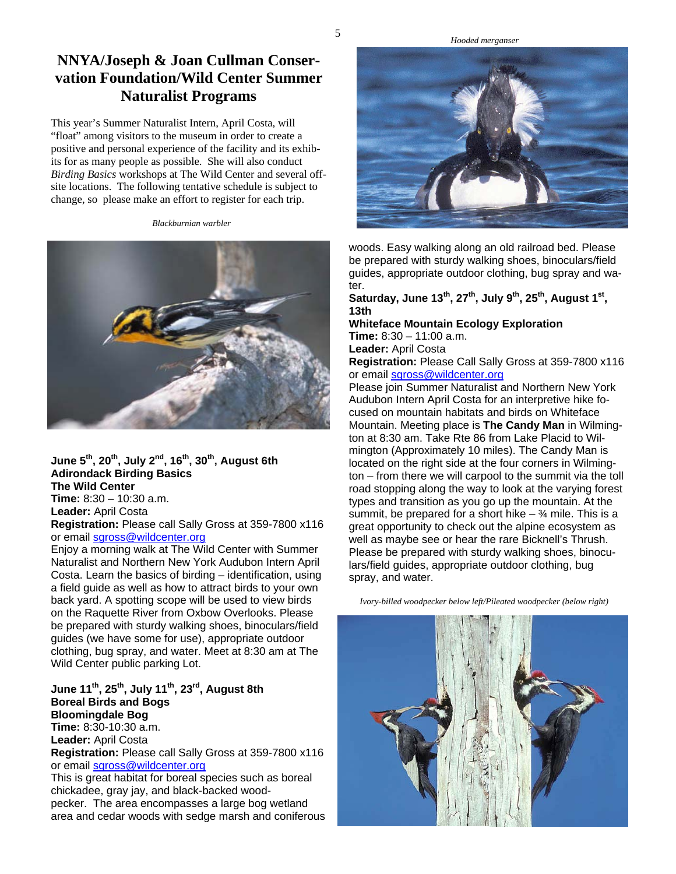#### *Hooded merganser*

# **NNYA/Joseph & Joan Cullman Conservation Foundation/Wild Center Summer Naturalist Programs**

This year's Summer Naturalist Intern, April Costa, will "float" among visitors to the museum in order to create a positive and personal experience of the facility and its exhibits for as many people as possible. She will also conduct *Birding Basics* workshops at The Wild Center and several offsite locations. The following tentative schedule is subject to change, so please make an effort to register for each trip.

*Blackburnian warbler* 



**June 5th, 20th, July 2nd, 16th, 30th, August 6th Adirondack Birding Basics The Wild Center Time:** 8:30 – 10:30 a.m.

**Leader:** April Costa **Registration:** Please call Sally Gross at 359-7800 x116 or email sgross@wildcenter.org

Enjoy a morning walk at The Wild Center with Summer Naturalist and Northern New York Audubon Intern April Costa. Learn the basics of birding – identification, using a field guide as well as how to attract birds to your own back yard. A spotting scope will be used to view birds on the Raquette River from Oxbow Overlooks. Please be prepared with sturdy walking shoes, binoculars/field guides (we have some for use), appropriate outdoor clothing, bug spray, and water. Meet at 8:30 am at The Wild Center public parking Lot.

#### **June 11th, 25th, July 11th, 23rd, August 8th Boreal Birds and Bogs Bloomingdale Bog Time:** 8:30-10:30 a.m.

**Leader:** April Costa

**Registration:** Please call Sally Gross at 359-7800 x116 or email sgross@wildcenter.org

This is great habitat for boreal species such as boreal chickadee, gray jay, and black-backed woodpecker. The area encompasses a large bog wetland area and cedar woods with sedge marsh and coniferous



woods. Easy walking along an old railroad bed. Please be prepared with sturdy walking shoes, binoculars/field guides, appropriate outdoor clothing, bug spray and water.

**Saturday, June 13th, 27th, July 9th, 25th, August 1st, 13th** 

**Whiteface Mountain Ecology Exploration Time:** 8:30 – 11:00 a.m.

**Leader:** April Costa

**Registration:** Please Call Sally Gross at 359-7800 x116 or email sgross@wildcenter.org

Please join Summer Naturalist and Northern New York Audubon Intern April Costa for an interpretive hike focused on mountain habitats and birds on Whiteface Mountain. Meeting place is **The Candy Man** in Wilmington at 8:30 am. Take Rte 86 from Lake Placid to Wilmington (Approximately 10 miles). The Candy Man is located on the right side at the four corners in Wilmington – from there we will carpool to the summit via the toll road stopping along the way to look at the varying forest types and transition as you go up the mountain. At the summit, be prepared for a short hike  $\frac{3}{4}$  mile. This is a great opportunity to check out the alpine ecosystem as well as maybe see or hear the rare Bicknell's Thrush. Please be prepared with sturdy walking shoes, binoculars/field guides, appropriate outdoor clothing, bug spray, and water.

 *Ivory-billed woodpecker below left/Pileated woodpecker (below right)* 

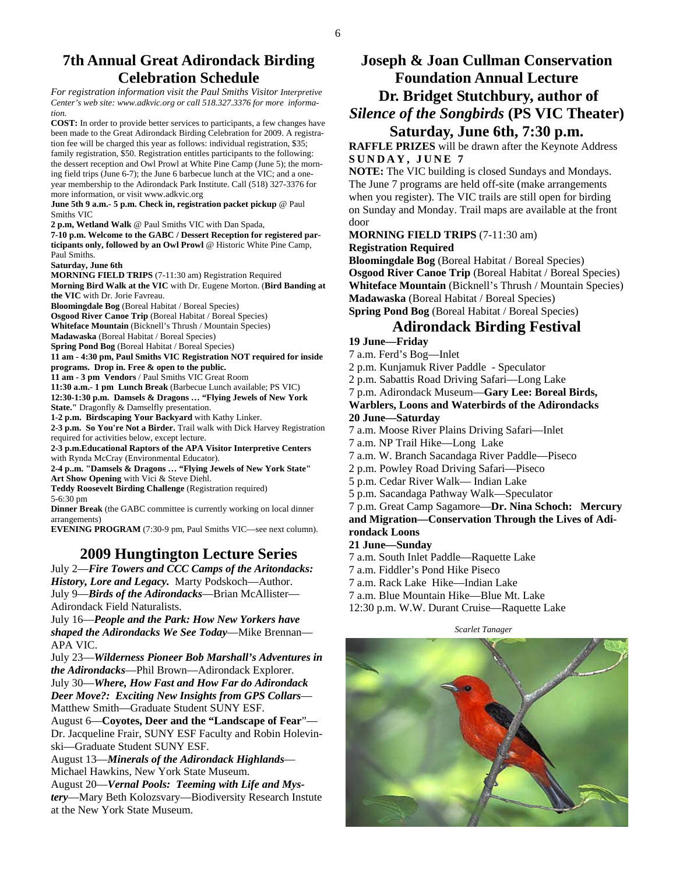### **7th Annual Great Adirondack Birding Celebration Schedule**

*For registration information visit the Paul Smiths Visitor Interpretive Center's web site: www.adkvic.org or call 518.327.3376 for more information.* 

**COST:** In order to provide better services to participants, a few changes have been made to the Great Adirondack Birding Celebration for 2009. A registration fee will be charged this year as follows: individual registration, \$35; family registration, \$50. Registration entitles participants to the following: the dessert reception and Owl Prowl at White Pine Camp (June 5); the morning field trips (June 6-7); the June 6 barbecue lunch at the VIC; and a oneyear membership to the Adirondack Park Institute. Call (518) 327-3376 for more information, or visit www.adkvic.org

**June 5th 9 a.m.- 5 p.m. Check in, registration packet pickup** @ Paul Smiths VIC

**2 p.m, Wetland Walk** @ Paul Smiths VIC with Dan Spada,

**7-10 p.m. Welcome to the GABC / Dessert Reception for registered participants only, followed by an Owl Prowl** @ Historic White Pine Camp, Paul Smiths.

**Saturday, June 6th** 

**MORNING FIELD TRIPS** (7-11:30 am) Registration Required **Morning Bird Walk at the VIC** with Dr. Eugene Morton. (**Bird Banding at the VIC** with Dr. Jorie Favreau.

**Bloomingdale Bog** (Boreal Habitat / Boreal Species)

**Osgood River Canoe Trip** (Boreal Habitat / Boreal Species)

**Whiteface Mountain** (Bicknell's Thrush / Mountain Species)

**Madawaska** (Boreal Habitat / Boreal Species)

**Spring Pond Bog** (Boreal Habitat / Boreal Species)

**11 am - 4:30 pm, Paul Smiths VIC Registration NOT required for inside programs. Drop in. Free & open to the public.** 

**11 am - 3 pm Vendors** / Paul Smiths VIC Great Room

**11:30 a.m.- 1 pm Lunch Break** (Barbecue Lunch available; PS VIC)

**12:30-1:30 p.m. Damsels & Dragons … "Flying Jewels of New York** 

**State."** Dragonfly & Damselfly presentation.

**1-2 p.m. Birdscaping Your Backyard** with Kathy Linker. **2-3 p.m. So You're Not a Birder.** Trail walk with Dick Harvey Registration required for activities below, except lecture.

**2-3 p.m.Educational Raptors of the APA Visitor Interpretive Centers**  with Rynda McCray (Environmental Educator).

**2-4 p..m. "Damsels & Dragons … "Flying Jewels of New York State" Art Show Opening** with Vici & Steve Diehl.

**Teddy Roosevelt Birding Challenge** (Registration required)

5-6:30 pm **Dinner Break** (the GABC committee is currently working on local dinner arrangements)

**EVENING PROGRAM** (7:30-9 pm, Paul Smiths VIC—see next column).

# **2009 Hungtington Lecture Series**

July 2—*Fire Towers and CCC Camps of the Aritondacks: History, Lore and Legacy.* Marty Podskoch—Author. July 9—*Birds of the Adirondacks*—Brian McAllister— Adirondack Field Naturalists.

July 16—*People and the Park: How New Yorkers have shaped the Adirondacks We See Today*—Mike Brennan— APA VIC.

July 23—*Wilderness Pioneer Bob Marshall's Adventures in the Adirondacks*—Phil Brown—Adirondack Explorer. July 30—*Where, How Fast and How Far do Adirondack* 

*Deer Move?: Exciting New Insights from GPS Collars*— Matthew Smith—Graduate Student SUNY ESF.

August 6—**Coyotes, Deer and the "Landscape of Fear**"— Dr. Jacqueline Frair, SUNY ESF Faculty and Robin Holevinski—Graduate Student SUNY ESF.

August 13—*Minerals of the Adirondack Highlands*— Michael Hawkins, New York State Museum.

August 20—*Vernal Pools: Teeming with Life and Mystery*—Mary Beth Kolozsvary—Biodiversity Research Instute at the New York State Museum.

## **Joseph & Joan Cullman Conservation Foundation Annual Lecture Dr. Bridget Stutchbury, author of**  *Silence of the Songbirds* **(PS VIC Theater) Saturday, June 6th, 7:30 p.m.**

**RAFFLE PRIZES** will be drawn after the Keynote Address **SUNDAY, JUNE 7** 

**NOTE:** The VIC building is closed Sundays and Mondays. The June 7 programs are held off-site (make arrangements when you register). The VIC trails are still open for birding on Sunday and Monday. Trail maps are available at the front door

**MORNING FIELD TRIPS** (7-11:30 am)

**Registration Required** 

**Bloomingdale Bog** (Boreal Habitat / Boreal Species) **Osgood River Canoe Trip** (Boreal Habitat / Boreal Species) **Whiteface Mountain** (Bicknell's Thrush / Mountain Species) **Madawaska** (Boreal Habitat / Boreal Species) **Spring Pond Bog** (Boreal Habitat / Boreal Species)

#### **Adirondack Birding Festival**

#### **19 June—Friday**

7 a.m. Ferd's Bog—Inlet

2 p.m. Kunjamuk River Paddle - Speculator

2 p.m. Sabattis Road Driving Safari—Long Lake

7 p.m. Adirondack Museum—**Gary Lee: Boreal Birds,** 

**Warblers, Loons and Waterbirds of the Adirondacks 20 June—Saturday** 

7 a.m. Moose River Plains Driving Safari—Inlet

7 a.m. NP Trail Hike—Long Lake

7 a.m. W. Branch Sacandaga River Paddle—Piseco

2 p.m. Powley Road Driving Safari—Piseco

5 p.m. Cedar River Walk— Indian Lake

5 p.m. Sacandaga Pathway Walk—Speculator

7 p.m. Great Camp Sagamore—**Dr. Nina Schoch: Mercury and Migration—Conservation Through the Lives of Adi-**

**rondack Loons** 

#### **21 June—Sunday**

7 a.m. South Inlet Paddle—Raquette Lake

7 a.m. Fiddler's Pond Hike Piseco

7 a.m. Rack Lake Hike—Indian Lake

7 a.m. Blue Mountain Hike—Blue Mt. Lake

12:30 p.m. W.W. Durant Cruise—Raquette Lake

 *Scarlet Tanager* 

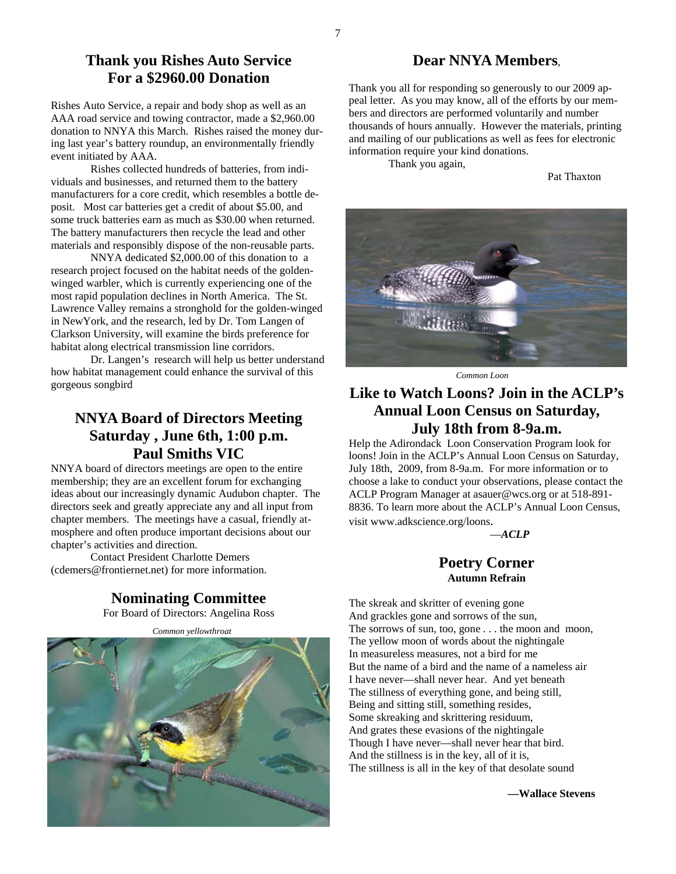### **Thank you Rishes Auto Service For a \$2960.00 Donation**

Rishes Auto Service, a repair and body shop as well as an AAA road service and towing contractor, made a \$2,960.00 donation to NNYA this March. Rishes raised the money during last year's battery roundup, an environmentally friendly event initiated by AAA.

 Rishes collected hundreds of batteries, from individuals and businesses, and returned them to the battery manufacturers for a core credit, which resembles a bottle deposit. Most car batteries get a credit of about \$5.00, and some truck batteries earn as much as \$30.00 when returned. The battery manufacturers then recycle the lead and other materials and responsibly dispose of the non-reusable parts.

 NNYA dedicated \$2,000.00 of this donation to a research project focused on the habitat needs of the goldenwinged warbler, which is currently experiencing one of the most rapid population declines in North America. The St. Lawrence Valley remains a stronghold for the golden-winged in NewYork, and the research, led by Dr. Tom Langen of Clarkson University, will examine the birds preference for habitat along electrical transmission line corridors.

 Dr. Langen's research will help us better understand how habitat management could enhance the survival of this gorgeous songbird

### **NNYA Board of Directors Meeting Saturday , June 6th, 1:00 p.m. Paul Smiths VIC**

NNYA board of directors meetings are open to the entire membership; they are an excellent forum for exchanging ideas about our increasingly dynamic Audubon chapter. The directors seek and greatly appreciate any and all input from chapter members. The meetings have a casual, friendly atmosphere and often produce important decisions about our chapter's activities and direction.

 Contact President Charlotte Demers (cdemers@frontiernet.net) for more information.

**Nominating Committee**

For Board of Directors: Angelina Ross

 *Common yellowthroat* 



#### **Dear NNYA Members**,

Thank you all for responding so generously to our 2009 appeal letter. As you may know, all of the efforts by our members and directors are performed voluntarily and number thousands of hours annually. However the materials, printing and mailing of our publications as well as fees for electronic information require your kind donations.

Thank you again,

Pat Thaxton



*Common Loon* 

### **Like to Watch Loons? Join in the ACLP's Annual Loon Census on Saturday, July 18th from 8-9a.m.**

Help the Adirondack Loon Conservation Program look for loons! Join in the ACLP's Annual Loon Census on Saturday, July 18th, 2009, from 8-9a.m. For more information or to choose a lake to conduct your observations, please contact the ACLP Program Manager at asauer@wcs.org or at 518-891- 8836. To learn more about the ACLP's Annual Loon Census, visit www.adkscience.org/loons.

—*ACLP* 

#### **Poetry Corner Autumn Refrain**

The skreak and skritter of evening gone And grackles gone and sorrows of the sun, The sorrows of sun, too, gone . . . the moon and moon, The yellow moon of words about the nightingale In measureless measures, not a bird for me But the name of a bird and the name of a nameless air I have never—shall never hear. And yet beneath The stillness of everything gone, and being still, Being and sitting still, something resides, Some skreaking and skrittering residuum, And grates these evasions of the nightingale Though I have never—shall never hear that bird. And the stillness is in the key, all of it is, The stillness is all in the key of that desolate sound

**—Wallace Stevens**